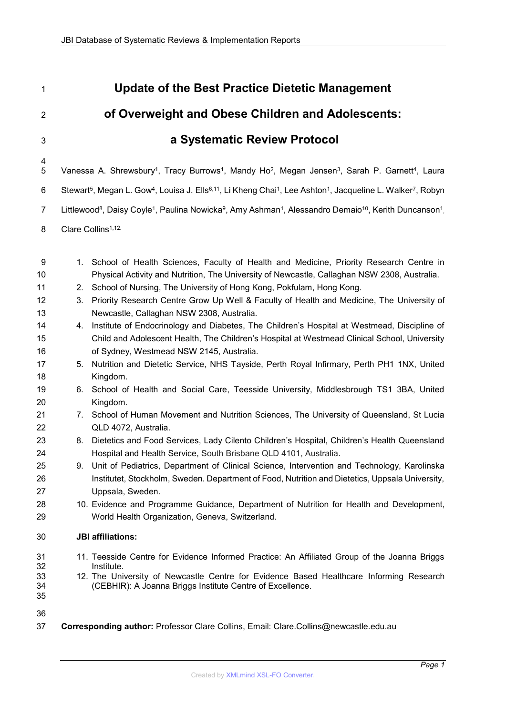**a Systematic Review Protocol**

**Update of the Best Practice Dietetic Management** 

**of Overweight and Obese Children and Adolescents:**

# 5 Vanessa A. Shrewsbury<sup>1</sup>, Tracy Burrows<sup>1</sup>, Mandy Ho<sup>2</sup>, Megan Jensen<sup>3</sup>, Sarah P. Garnett<sup>4</sup>, Laura 6 Stewart<sup>5</sup>, Megan L. Gow<sup>4</sup>, Louisa J. Ells<sup>6,11</sup>, Li Kheng Chai<sup>1</sup>, Lee Ashton<sup>1</sup>, Jacqueline L. Walker<sup>7</sup>, Robyn  $7\quad$  Littlewood $^8$ , Daisy Coyle $^1$ , Paulina Nowicka $^9$ , Amy Ashman $^1$ , Alessandro Demaio $^{10}$ , Kerith Duncanson $^1$ , Clare Collins1,12. 1. School of Health Sciences, Faculty of Health and Medicine, Priority Research Centre in Physical Activity and Nutrition, The University of Newcastle, Callaghan NSW 2308, Australia. 2. School of Nursing, The University of Hong Kong, Pokfulam, Hong Kong. 3. Priority Research Centre Grow Up Well & Faculty of Health and Medicine, The University of Newcastle, Callaghan NSW 2308, Australia. 4. Institute of Endocrinology and Diabetes, The Children's Hospital at Westmead, Discipline of Child and Adolescent Health, The Children's Hospital at Westmead Clinical School, University of Sydney, Westmead NSW 2145, Australia. 5. Nutrition and Dietetic Service, NHS Tayside, Perth Royal Infirmary, Perth PH1 1NX, United Kingdom. 6. School of Health and Social Care, Teesside University, Middlesbrough TS1 3BA, United Kingdom. 7. School of Human Movement and Nutrition Sciences, The University of Queensland, St Lucia QLD 4072, Australia. 8. Dietetics and Food Services, Lady Cilento Children's Hospital, Children's Health Queensland Hospital and Health Service, South Brisbane QLD 4101, Australia. 9. Unit of Pediatrics, Department of Clinical Science, Intervention and Technology, Karolinska Institutet, Stockholm, Sweden. Department of Food, Nutrition and Dietetics, Uppsala University, Uppsala, Sweden. 10. Evidence and Programme Guidance, Department of Nutrition for Health and Development, World Health Organization, Geneva, Switzerland. **JBI affiliations:**  11. Teesside Centre for Evidence Informed Practice: An Affiliated Group of the Joanna Briggs Institute. 12. The University of Newcastle Centre for Evidence Based Healthcare Informing Research (CEBHIR): A Joanna Briggs Institute Centre of Excellence.

**Corresponding author:** Professor Clare Collins, Email: Clare.Collins@newcastle.edu.au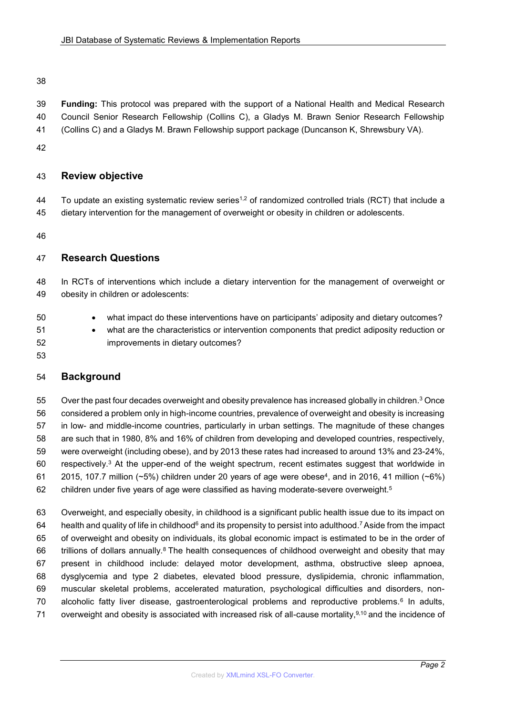**Funding:** This protocol was prepared with the support of a National Health and Medical Research Council Senior Research Fellowship (Collins C), a Gladys M. Brawn Senior Research Fellowship (Collins C) and a Gladys M. Brawn Fellowship support package (Duncanson K, Shrewsbury VA).

# **Review objective**

44 To update an existing systematic review series<sup>1,2</sup> of randomized controlled trials (RCT) that include a dietary intervention for the management of overweight or obesity in children or adolescents.

# **Research Questions**

 In RCTs of interventions which include a dietary intervention for the management of overweight or obesity in children or adolescents:

what impact do these interventions have on participants' adiposity and dietary outcomes?

 what are the characteristics or intervention components that predict adiposity reduction or improvements in dietary outcomes?

## **Background**

55 Over the past four decades overweight and obesity prevalence has increased globally in children.<sup>3</sup> Once considered a problem only in high-income countries, prevalence of overweight and obesity is increasing in low- and middle-income countries, particularly in urban settings. The magnitude of these changes are such that in 1980, 8% and 16% of children from developing and developed countries, respectively, were overweight (including obese), and by 2013 these rates had increased to around 13% and 23-24%, 60 respectively.<sup>3</sup> At the upper-end of the weight spectrum, recent estimates suggest that worldwide in 61 2015, 107.7 million (~5%) children under 20 years of age were obese<sup>4</sup>, and in 2016, 41 million (~6%)  $62 \qquad$  children under five years of age were classified as having moderate-severe overweight. $^{5}$ 

 Overweight, and especially obesity, in childhood is a significant public health issue due to its impact on 64 health and quality of life in childhood<sup>6</sup> and its propensity to persist into adulthood.<sup>7</sup> Aside from the impact of overweight and obesity on individuals, its global economic impact is estimated to be in the order of 66 trillions of dollars annually.<sup>8</sup> The health consequences of childhood overweight and obesity that may present in childhood include: delayed motor development, asthma, obstructive sleep apnoea, dysglycemia and type 2 diabetes, elevated blood pressure, dyslipidemia, chronic inflammation, muscular skeletal problems, accelerated maturation, psychological difficulties and disorders, non-70 alcoholic fatty liver disease, gastroenterological problems and reproductive problems.<sup>6</sup> In adults, 71 overweight and obesity is associated with increased risk of all-cause mortality, $9,10$  and the incidence of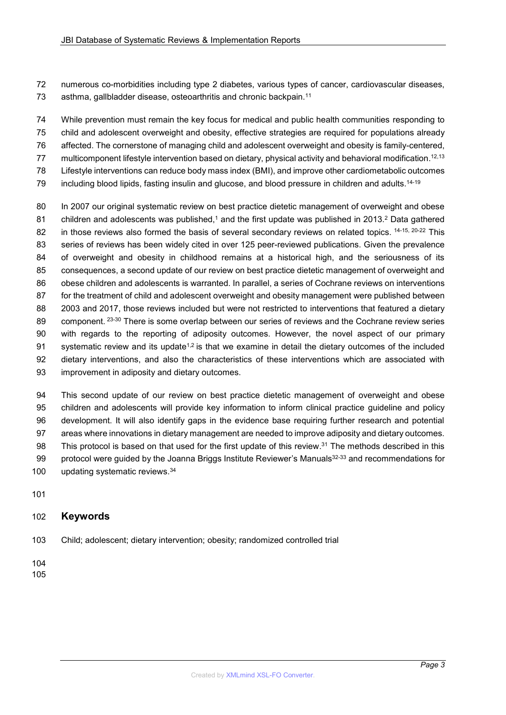numerous co-morbidities including type 2 diabetes, various types of cancer, cardiovascular diseases, 73 asthma, gallbladder disease, osteoarthritis and chronic backpain.<sup>11</sup>

 While prevention must remain the key focus for medical and public health communities responding to child and adolescent overweight and obesity, effective strategies are required for populations already affected. The cornerstone of managing child and adolescent overweight and obesity is family-centered, 77 multicomponent lifestyle intervention based on dietary, physical activity and behavioral modification.<sup>12,13</sup> Lifestyle interventions can reduce body mass index (BMI), and improve other cardiometabolic outcomes

 $\,$  including blood lipids, fasting insulin and glucose, and blood pressure in children and adults. $^{14\cdot 19}$ 

 In 2007 our original systematic review on best practice dietetic management of overweight and obese  $\,$  children and adolescents was published, $^1$  and the first update was published in 2013. $^2$  Data gathered 82 in those reviews also formed the basis of several secondary reviews on related topics. 14-15, 20-22 This series of reviews has been widely cited in over 125 peer-reviewed publications. Given the prevalence of overweight and obesity in childhood remains at a historical high, and the seriousness of its consequences, a second update of our review on best practice dietetic management of overweight and obese children and adolescents is warranted. In parallel, a series of Cochrane reviews on interventions for the treatment of child and adolescent overweight and obesity management were published between 2003 and 2017, those reviews included but were not restricted to interventions that featured a dietary 89 component. <sup>23-30</sup> There is some overlap between our series of reviews and the Cochrane review series with regards to the reporting of adiposity outcomes. However, the novel aspect of our primary 91 systematic review and its update<sup>1,2</sup> is that we examine in detail the dietary outcomes of the included dietary interventions, and also the characteristics of these interventions which are associated with improvement in adiposity and dietary outcomes.

 This second update of our review on best practice dietetic management of overweight and obese children and adolescents will provide key information to inform clinical practice guideline and policy development. It will also identify gaps in the evidence base requiring further research and potential areas where innovations in dietary management are needed to improve adiposity and dietary outcomes. 98 This protocol is based on that used for the first update of this review.<sup>31</sup> The methods described in this  $\quad$  protocol were guided by the Joanna Briggs Institute Reviewer's Manuals $^{32\text{-}33}$  and recommendations for 100 updating systematic reviews.<sup>34</sup>

# **Keywords**

Child; adolescent; dietary intervention; obesity; randomized controlled trial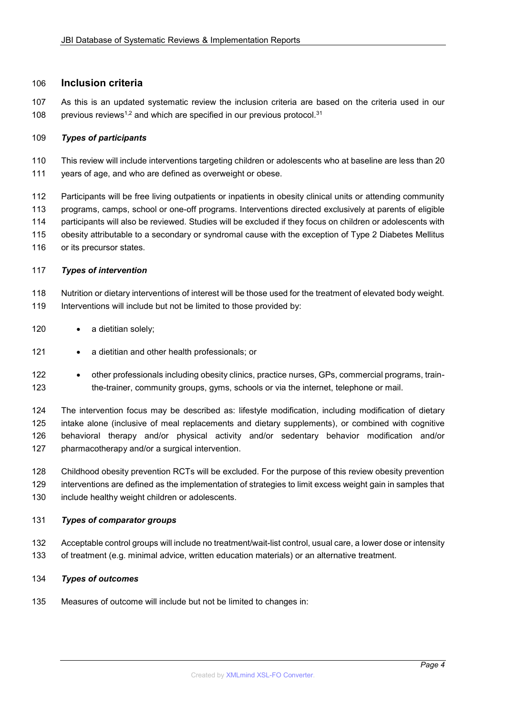### **Inclusion criteria**

 As this is an updated systematic review the inclusion criteria are based on the criteria used in our 108 previous reviews<sup>1,2</sup> and which are specified in our previous protocol.<sup>31</sup>

#### *Types of participants*

- This review will include interventions targeting children or adolescents who at baseline are less than 20 years of age, and who are defined as overweight or obese.
- Participants will be free living outpatients or inpatients in obesity clinical units or attending community programs, camps, school or one-off programs. Interventions directed exclusively at parents of eligible participants will also be reviewed. Studies will be excluded if they focus on children or adolescents with obesity attributable to a secondary or syndromal cause with the exception of Type 2 Diabetes Mellitus 116 or its precursor states.
- *Types of intervention*
- Nutrition or dietary interventions of interest will be those used for the treatment of elevated body weight. Interventions will include but not be limited to those provided by:
- 120 · a dietitian solely;
- **•** a dietitian and other health professionals; or
- 122 other professionals including obesity clinics, practice nurses, GPs, commercial programs, train-the-trainer, community groups, gyms, schools or via the internet, telephone or mail.

 The intervention focus may be described as: lifestyle modification, including modification of dietary intake alone (inclusive of meal replacements and dietary supplements), or combined with cognitive behavioral therapy and/or physical activity and/or sedentary behavior modification and/or pharmacotherapy and/or a surgical intervention.

 Childhood obesity prevention RCTs will be excluded. For the purpose of this review obesity prevention interventions are defined as the implementation of strategies to limit excess weight gain in samples that include healthy weight children or adolescents.

#### *Types of comparator groups*

- Acceptable control groups will include no treatment/wait-list control, usual care, a lower dose or intensity of treatment (e.g. minimal advice, written education materials) or an alternative treatment.
- *Types of outcomes*
- Measures of outcome will include but not be limited to changes in: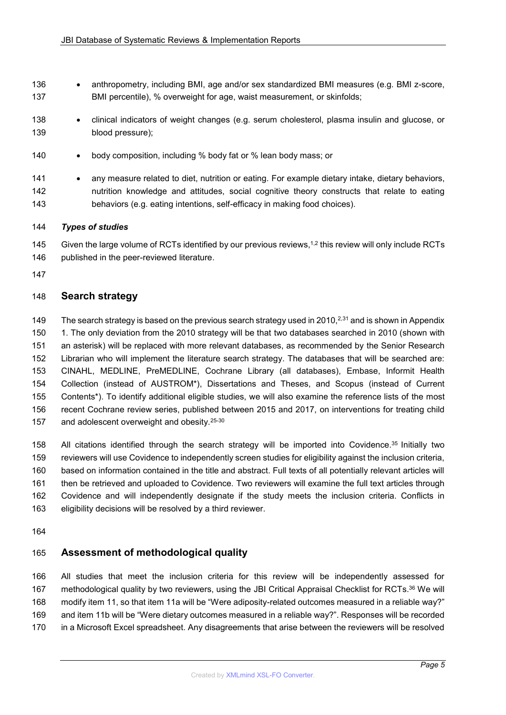- 136 anthropometry, including BMI, age and/or sex standardized BMI measures (e.g. BMI z-score, BMI percentile), % overweight for age, waist measurement, or skinfolds;
- 138 clinical indicators of weight changes (e.g. serum cholesterol, plasma insulin and glucose, or blood pressure);
- 140 body composition, including % body fat or % lean body mass; or
- 141 any measure related to diet, nutrition or eating. For example dietary intake, dietary behaviors, nutrition knowledge and attitudes, social cognitive theory constructs that relate to eating behaviors (e.g. eating intentions, self-efficacy in making food choices).

#### *Types of studies*

145 Given the large volume of RCTs identified by our previous reviews, $1.2$  this review will only include RCTs 146 published in the peer-reviewed literature.

# **Search strategy**

149 The search strategy is based on the previous search strategy used in 2010,<sup>2,31</sup> and is shown in Appendix 1. The only deviation from the 2010 strategy will be that two databases searched in 2010 (shown with an asterisk) will be replaced with more relevant databases, as recommended by the Senior Research Librarian who will implement the literature search strategy. The databases that will be searched are: CINAHL, MEDLINE, PreMEDLINE, Cochrane Library (all databases), Embase, Informit Health Collection (instead of AUSTROM\*), Dissertations and Theses, and Scopus (instead of Current Contents\*). To identify additional eligible studies, we will also examine the reference lists of the most recent Cochrane review series, published between 2015 and 2017, on interventions for treating child 157 and adolescent overweight and obesity.<sup>25-30</sup>

158 All citations identified through the search strategy will be imported into Covidence.<sup>35</sup> Initially two reviewers will use Covidence to independently screen studies for eligibility against the inclusion criteria, based on information contained in the title and abstract. Full texts of all potentially relevant articles will then be retrieved and uploaded to Covidence. Two reviewers will examine the full text articles through Covidence and will independently designate if the study meets the inclusion criteria. Conflicts in eligibility decisions will be resolved by a third reviewer.

## **Assessment of methodological quality**

 All studies that meet the inclusion criteria for this review will be independently assessed for 167 methodological quality by two reviewers, using the JBI Critical Appraisal Checklist for RCTs.<sup>36</sup> We will modify item 11, so that item 11a will be "Were adiposity-related outcomes measured in a reliable way?" and item 11b will be "Were dietary outcomes measured in a reliable way?". Responses will be recorded in a Microsoft Excel spreadsheet. Any disagreements that arise between the reviewers will be resolved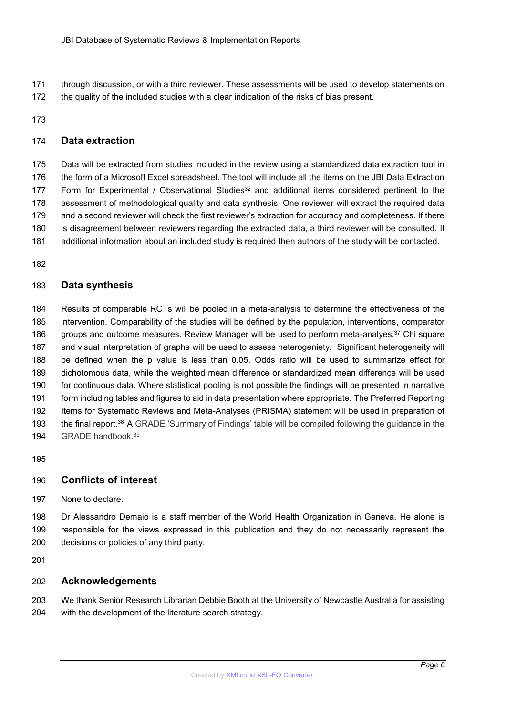through discussion, or with a third reviewer. These assessments will be used to develop statements on the quality of the included studies with a clear indication of the risks of bias present.

## **Data extraction**

 Data will be extracted from studies included in the review using a standardized data extraction tool in the form of a Microsoft Excel spreadsheet. The tool will include all the items on the JBI Data Extraction 177 Form for Experimental / Observational Studies<sup>32</sup> and additional items considered pertinent to the assessment of methodological quality and data synthesis. One reviewer will extract the required data and a second reviewer will check the first reviewer's extraction for accuracy and completeness. If there is disagreement between reviewers regarding the extracted data, a third reviewer will be consulted. If additional information about an included study is required then authors of the study will be contacted.

# **Data synthesis**

 Results of comparable RCTs will be pooled in a meta-analysis to determine the effectiveness of the intervention. Comparability of the studies will be defined by the population, interventions, comparator 186 groups and outcome measures. Review Manager will be used to perform meta-analyes.<sup>37</sup> Chi square and visual interpretation of graphs will be used to assess heterogeniety. Significant heterogeneity will be defined when the p value is less than 0.05. Odds ratio will be used to summarize effect for dichotomous data, while the weighted mean difference or standardized mean difference will be used for continuous data. Where statistical pooling is not possible the findings will be presented in narrative form including tables and figures to aid in data presentation where appropriate. The Preferred Reporting Items for Systematic Reviews and Meta-Analyses (PRISMA) statement will be used in preparation of 193 the final report.<sup>38</sup> A GRADE 'Summary of Findings' table will be compiled following the guidance in the 194 GRADE handbook.<sup>39</sup>

## **Conflicts of interest**

None to declare.

 Dr Alessandro Demaio is a staff member of the World Health Organization in Geneva. He alone is responsible for the views expressed in this publication and they do not necessarily represent the decisions or policies of any third party.

## **Acknowledgements**

 We thank Senior Research Librarian Debbie Booth at the University of Newcastle Australia for assisting with the development of the literature search strategy.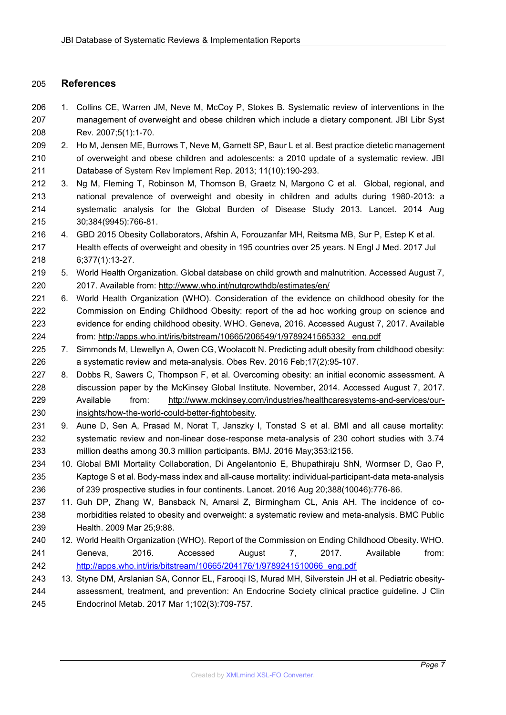## **References**

- 1. Collins CE, Warren JM, Neve M, McCoy P, Stokes B. Systematic review of interventions in the management of overweight and obese children which include a dietary component. JBI Libr Syst Rev. 2007;5(1):1-70.
- 2. Ho M, Jensen ME, Burrows T, Neve M, Garnett SP, Baur L et al. Best practice dietetic management of overweight and obese children and adolescents: a 2010 update of a systematic review. JBI Database of System Rev Implement Rep. 2013; 11(10):190-293.
- 3. Ng M, Fleming T, Robinson M, Thomson B, Graetz N, Margono C et al. Global, regional, and national prevalence of overweight and obesity in children and adults during 1980-2013: a systematic analysis for the Global Burden of Disease Study 2013. Lancet. 2014 Aug 30;384(9945):766-81.
- 4. GBD 2015 Obesity Collaborators, Afshin A, Forouzanfar MH, Reitsma MB, Sur P, Estep K et al. Health effects of overweight and obesity in 195 countries over 25 years. N Engl J Med. 2017 Jul 6;377(1):13-27.
- 5. World Health Organization. Global database on child growth and malnutrition. Accessed August 7, 2017. Available from[: http://www.who.int/nutgrowthdb/estimates/en/](http://www.who.int/nutgrowthdb/estimates/en/)
- 6. World Health Organization (WHO). Consideration of the evidence on childhood obesity for the Commission on Ending Childhood Obesity: report of the ad hoc working group on science and evidence for ending childhood obesity. WHO. Geneva, 2016. Accessed August 7, 2017. Available from: [http://apps.who.int/iris/bitstream/10665/206549/1/9789241565332\\_ eng.pdf](http://apps.who.int/iris/bitstream/10665/206549/1/9789241565332_%20eng.pdf)
- 7. Simmonds M, Llewellyn A, Owen CG, Woolacott N. Predicting adult obesity from childhood obesity: a systematic review and meta-analysis. Obes Rev. 2016 Feb;17(2):95-107.
- 227 8. Dobbs R, Sawers C, Thompson F, et al. Overcoming obesity: an initial economic assessment. A discussion paper by the McKinsey Global Institute. November, 2014. Accessed August 7, 2017. Available from: [http://www.mckinsey.com/industries/healthcaresystems-and-services/our-](http://www.mckinsey.com/industries/healthcaresystems-and-services/our-insights/how-the-world-could-better-fightobesity)[insights/how-the-world-could-better-fightobesity.](http://www.mckinsey.com/industries/healthcaresystems-and-services/our-insights/how-the-world-could-better-fightobesity)
- 9. Aune D, Sen A, Prasad M, Norat T, Janszky I, Tonstad S et al. BMI and all cause mortality: systematic review and non-linear dose-response meta-analysis of 230 cohort studies with 3.74 million deaths among 30.3 million participants. BMJ. 2016 May;353:i2156.
- 10. Global BMI Mortality Collaboration, Di Angelantonio E, Bhupathiraju ShN, Wormser D, Gao P, Kaptoge S et al. Body-mass index and all-cause mortality: individual-participant-data meta-analysis of 239 prospective studies in four continents. Lancet. 2016 Aug 20;388(10046):776-86.
- 11. Guh DP, Zhang W, Bansback N, Amarsi Z, Birmingham CL, Anis AH. The incidence of co- morbidities related to obesity and overweight: a systematic review and meta-analysis. BMC Public Health. 2009 Mar 25;9:88.
- 12. World Health Organization (WHO). Report of the Commission on Ending Childhood Obesity. WHO. Geneva, 2016. Accessed August 7, 2017. Available from: [http://apps.who.int/iris/bitstream/10665/204176/1/9789241510066\\_eng.pdf](http://apps.who.int/iris/bitstream/10665/204176/1/9789241510066_eng.pdf)
- 13. Styne DM, Arslanian SA, Connor EL, Farooqi IS, Murad MH, Silverstein JH et al. Pediatric obesity- assessment, treatment, and prevention: An Endocrine Society clinical practice guideline. J Clin Endocrinol Metab. 2017 Mar 1;102(3):709-757.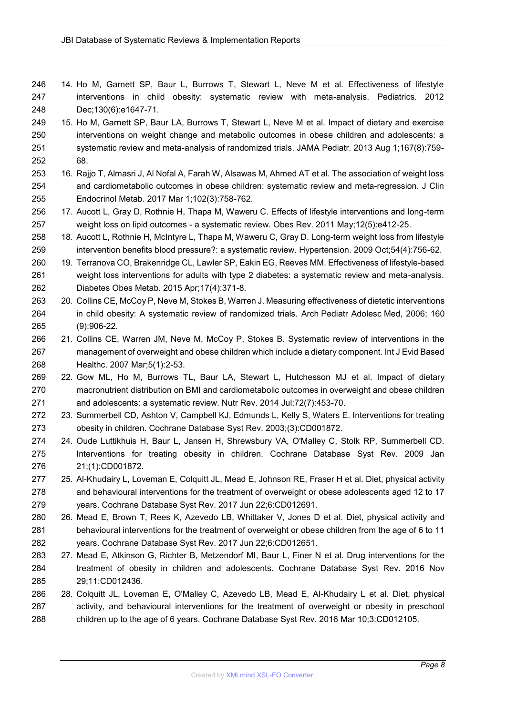- 14. Ho M, Garnett SP, Baur L, Burrows T, Stewart L, Neve M et al. Effectiveness of lifestyle interventions in child obesity: systematic review with meta-analysis. Pediatrics. 2012 Dec;130(6):e1647-71.
- 15. Ho M, Garnett SP, Baur LA, Burrows T, Stewart L, Neve M et al. Impact of dietary and exercise interventions on weight change and metabolic outcomes in obese children and adolescents: a systematic review and meta-analysis of randomized trials. JAMA Pediatr. 2013 Aug 1;167(8):759- 68.
- 16. Rajjo T, Almasri J, Al Nofal A, Farah W, Alsawas M, Ahmed AT et al. The association of weight loss and cardiometabolic outcomes in obese children: systematic review and meta-regression. J Clin Endocrinol Metab. 2017 Mar 1;102(3):758-762.
- 17. Aucott L, Gray D, Rothnie H, Thapa M, Waweru C. Effects of lifestyle interventions and long-term weight loss on lipid outcomes - a systematic review. Obes Rev. 2011 May;12(5):e412-25.
- 18. Aucott L, Rothnie H, McIntyre L, Thapa M, Waweru C, Gray D. Long-term weight loss from lifestyle intervention benefits blood pressure?: a systematic review. Hypertension. 2009 Oct;54(4):756-62.
- 19. Terranova CO, Brakenridge CL, Lawler SP, Eakin EG, Reeves MM. Effectiveness of lifestyle-based weight loss interventions for adults with type 2 diabetes: a systematic review and meta-analysis. Diabetes Obes Metab. 2015 Apr;17(4):371-8.
- 20. Collins CE, McCoy P, Neve M, Stokes B, Warren J. Measuring effectiveness of dietetic interventions in child obesity: A systematic review of randomized trials. Arch Pediatr Adolesc Med, 2006; 160 (9):906-22.
- 21. Collins CE, Warren JM, Neve M, McCoy P, Stokes B. Systematic review of interventions in the management of overweight and obese children which include a dietary component. Int J Evid Based Healthc. 2007 Mar;5(1):2-53.
- 22. Gow ML, Ho M, Burrows TL, Baur LA, Stewart L, Hutchesson MJ et al. Impact of dietary macronutrient distribution on BMI and cardiometabolic outcomes in overweight and obese children and adolescents: a systematic review. Nutr Rev. 2014 Jul;72(7):453-70.
- 23. Summerbell CD, Ashton V, Campbell KJ, Edmunds L, Kelly S, Waters E. Interventions for treating obesity in children. Cochrane Database Syst Rev. 2003;(3):CD001872.
- 24. Oude Luttikhuis H, Baur L, Jansen H, Shrewsbury VA, O'Malley C, Stolk RP, Summerbell CD. Interventions for treating obesity in children. Cochrane Database Syst Rev. 2009 Jan 21;(1):CD001872.
- 25. Al-Khudairy L, Loveman E, Colquitt JL, Mead E, Johnson RE, Fraser H et al. Diet, physical activity and behavioural interventions for the treatment of overweight or obese adolescents aged 12 to 17 years. Cochrane Database Syst Rev. 2017 Jun 22;6:CD012691.
- 26. Mead E, Brown T, Rees K, Azevedo LB, Whittaker V, Jones D et al. Diet, physical activity and behavioural interventions for the treatment of overweight or obese children from the age of 6 to 11 years. Cochrane Database Syst Rev. 2017 Jun 22;6:CD012651.
- 27. Mead E, Atkinson G, Richter B, Metzendorf MI, Baur L, Finer N et al. Drug interventions for the treatment of obesity in children and adolescents. Cochrane Database Syst Rev. 2016 Nov 29;11:CD012436.
- 28. Colquitt JL, Loveman E, O'Malley C, Azevedo LB, Mead E, Al-Khudairy L et al. Diet, physical activity, and behavioural interventions for the treatment of overweight or obesity in preschool children up to the age of 6 years. Cochrane Database Syst Rev. 2016 Mar 10;3:CD012105.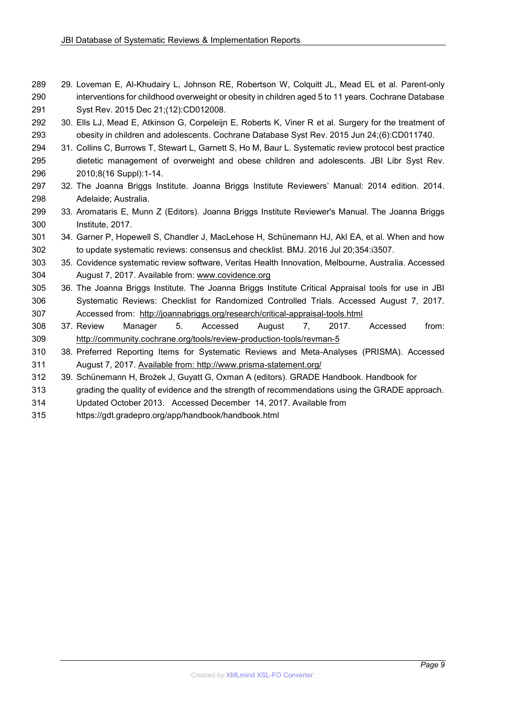- 29. Loveman E, Al-Khudairy L, Johnson RE, Robertson W, Colquitt JL, Mead EL et al. Parent-only interventions for childhood overweight or obesity in children aged 5 to 11 years. Cochrane Database Syst Rev. 2015 Dec 21;(12):CD012008.
- 30. Ells LJ, Mead E, Atkinson G, Corpeleijn E, Roberts K, Viner R et al. Surgery for the treatment of obesity in children and adolescents. Cochrane Database Syst Rev. 2015 Jun 24;(6):CD011740.
- 31. Collins C, Burrows T, Stewart L, Garnett S, Ho M, Baur L. Systematic review protocol best practice dietetic management of overweight and obese children and adolescents. JBI Libr Syst Rev. 2010;8(16 Suppl):1-14.
- 32. The Joanna Briggs Institute. Joanna Briggs Institute Reviewers' Manual: 2014 edition. 2014. Adelaide; Australia.
- 33. Aromataris E, Munn Z (Editors)*.* Joanna Briggs Institute Reviewer's Manual. The Joanna Briggs Institute, 2017.
- 34. Garner P, Hopewell S, Chandler J, MacLehose H, Schünemann HJ, Akl EA, et al. When and how to update systematic reviews: consensus and checklist. BMJ. 2016 Jul 20;354:i3507.
- 35. Covidence systematic review software, Veritas Health Innovation, Melbourne, Australia. Accessed August 7, 2017. Available from: [www.covidence.org](http://www.covidence.org/)
- 36. The Joanna Briggs Institute. The Joanna Briggs Institute Critical Appraisal tools for use in JBI Systematic Reviews: Checklist for Randomized Controlled Trials. Accessed August 7, 2017. Accessed from: <http://joannabriggs.org/research/critical-appraisal-tools.html>
- 37. Review Manager 5. Accessed August 7, 2017. Accessed from: <http://community.cochrane.org/tools/review-production-tools/revman-5>
- 38. Preferred Reporting Items for Systematic Reviews and Meta-Analyses (PRISMA). Accessed August 7, 2017. Available from: http://www.prisma-statement.org/
- 39. Schünemann H, Brożek J, Guyatt G, Oxman A (editors). GRADE Handbook. Handbook for
- grading the quality of evidence and the strength of recommendations using the GRADE approach.
- Updated October 2013. Accessed December 14, 2017. Available from
- https://gdt.gradepro.org/app/handbook/handbook.html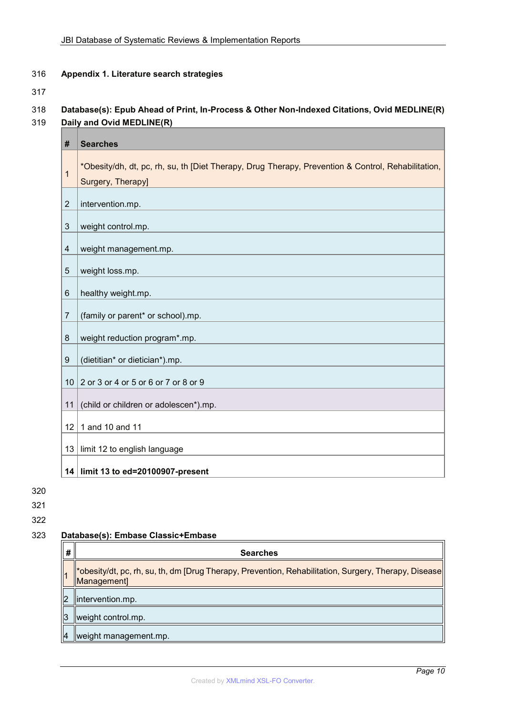#### **Appendix 1. Literature search strategies**

# **Database(s): Epub Ahead of Print, In-Process & Other Non-Indexed Citations, Ovid MEDLINE(R) Daily and Ovid MEDLINE(R)**

| #                         | <b>Searches</b>                                                                                                         |
|---------------------------|-------------------------------------------------------------------------------------------------------------------------|
| 1                         | *Obesity/dh, dt, pc, rh, su, th [Diet Therapy, Drug Therapy, Prevention & Control, Rehabilitation,<br>Surgery, Therapy] |
| $\overline{2}$            | intervention.mp.                                                                                                        |
| $\ensuremath{\mathsf{3}}$ | weight control.mp.                                                                                                      |
| $\overline{\mathcal{A}}$  | weight management.mp.                                                                                                   |
| 5                         | weight loss.mp.                                                                                                         |
| 6                         | healthy weight.mp.                                                                                                      |
| $\overline{7}$            | (family or parent* or school).mp.                                                                                       |
| 8                         | weight reduction program*.mp.                                                                                           |
| 9                         | (dietitian* or dietician*).mp.                                                                                          |
| 10 <sup>°</sup>           | 2 or 3 or 4 or 5 or 6 or 7 or 8 or 9                                                                                    |
| 11                        | (child or children or adolescen*).mp.                                                                                   |
| 12 <sup>°</sup>           | 1 and 10 and 11                                                                                                         |
| 13                        | limit 12 to english language                                                                                            |
|                           | 14 limit 13 to ed=20100907-present                                                                                      |

#### **Database(s): Embase Classic+Embase**

| #              | <b>Searches</b>                                                                                                     |
|----------------|---------------------------------------------------------------------------------------------------------------------|
|                | *obesity/dt, pc, rh, su, th, dm [Drug Therapy, Prevention, Rehabilitation, Surgery, Therapy, Disease<br>Management] |
| $\overline{2}$ | intervention.mp.                                                                                                    |
| 3              | weight control.mp.                                                                                                  |
| $\overline{4}$ | weight management.mp.                                                                                               |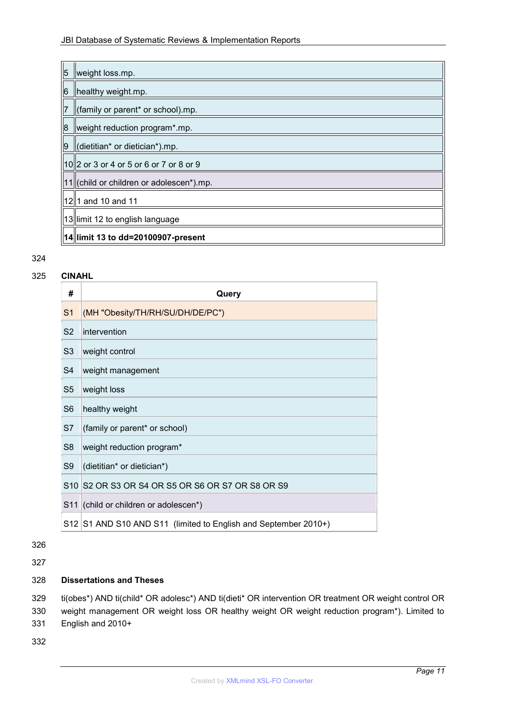# JBI Database of Systematic Reviews & Implementation Reports

| $\overline{5}$ | weight loss.mp.                              |
|----------------|----------------------------------------------|
| 6              | healthy weight.mp.                           |
| $\overline{7}$ | (family or parent* or school).mp.            |
| $\overline{8}$ | weight reduction program*.mp.                |
| l9             | (dietitian* or dietician*).mp.               |
|                | $  10  2$ or 3 or 4 or 5 or 6 or 7 or 8 or 9 |
|                | $11$   (child or children or adolescen*).mp. |
|                | 12 1 and 10 and 11                           |
|                | 13 limit 12 to english language              |
|                | 14  limit 13 to dd=20100907-present          |

#### 324

#### 325 **CINAHL**

| #              | Query                                                           |
|----------------|-----------------------------------------------------------------|
| S <sub>1</sub> | (MH "Obesity/TH/RH/SU/DH/DE/PC")                                |
| S <sub>2</sub> | intervention                                                    |
| S <sub>3</sub> | weight control                                                  |
| S <sub>4</sub> | weight management                                               |
| S <sub>5</sub> | weight loss                                                     |
| S <sub>6</sub> | healthy weight                                                  |
| S7             | (family or parent* or school)                                   |
| S <sub>8</sub> | weight reduction program*                                       |
| S <sub>9</sub> | (dietitian* or dietician*)                                      |
|                | S10 S2 OR S3 OR S4 OR S5 OR S6 OR S7 OR S8 OR S9                |
|                | S11 (child or children or adolescen*)                           |
|                | S12 S1 AND S10 AND S11 (limited to English and September 2010+) |

326

327

#### 328 **Dissertations and Theses**

329 ti(obes\*) AND ti(child\* OR adolesc\*) AND ti(dieti\* OR intervention OR treatment OR weight control OR 330 weight management OR weight loss OR healthy weight OR weight reduction program\*). Limited to 331 English and 2010+

332